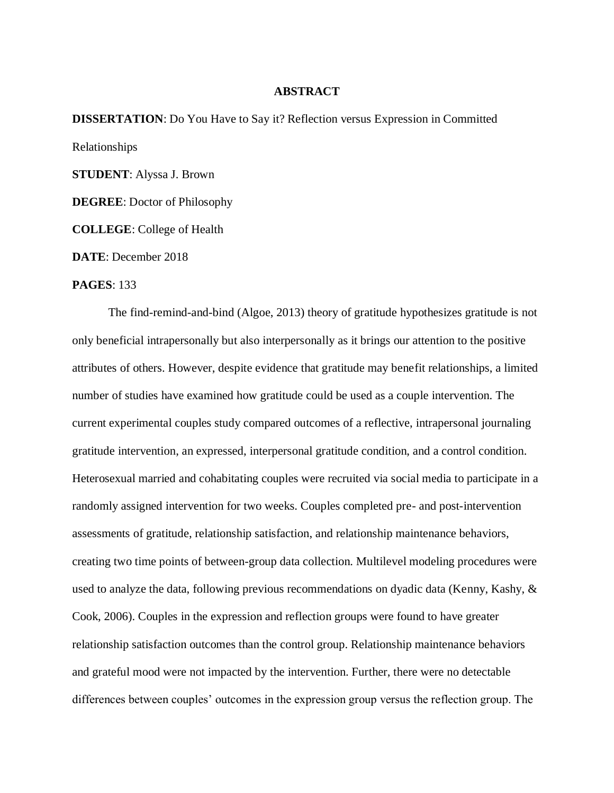## **ABSTRACT**

**DISSERTATION**: Do You Have to Say it? Reflection versus Expression in Committed Relationships **STUDENT**: Alyssa J. Brown **DEGREE**: Doctor of Philosophy

**COLLEGE**: College of Health

**DATE**: December 2018

## **PAGES**: 133

The find-remind-and-bind (Algoe, 2013) theory of gratitude hypothesizes gratitude is not only beneficial intrapersonally but also interpersonally as it brings our attention to the positive attributes of others. However, despite evidence that gratitude may benefit relationships, a limited number of studies have examined how gratitude could be used as a couple intervention. The current experimental couples study compared outcomes of a reflective, intrapersonal journaling gratitude intervention, an expressed, interpersonal gratitude condition, and a control condition. Heterosexual married and cohabitating couples were recruited via social media to participate in a randomly assigned intervention for two weeks. Couples completed pre- and post-intervention assessments of gratitude, relationship satisfaction, and relationship maintenance behaviors, creating two time points of between-group data collection. Multilevel modeling procedures were used to analyze the data, following previous recommendations on dyadic data (Kenny, Kashy, & Cook, 2006). Couples in the expression and reflection groups were found to have greater relationship satisfaction outcomes than the control group. Relationship maintenance behaviors and grateful mood were not impacted by the intervention. Further, there were no detectable differences between couples' outcomes in the expression group versus the reflection group. The